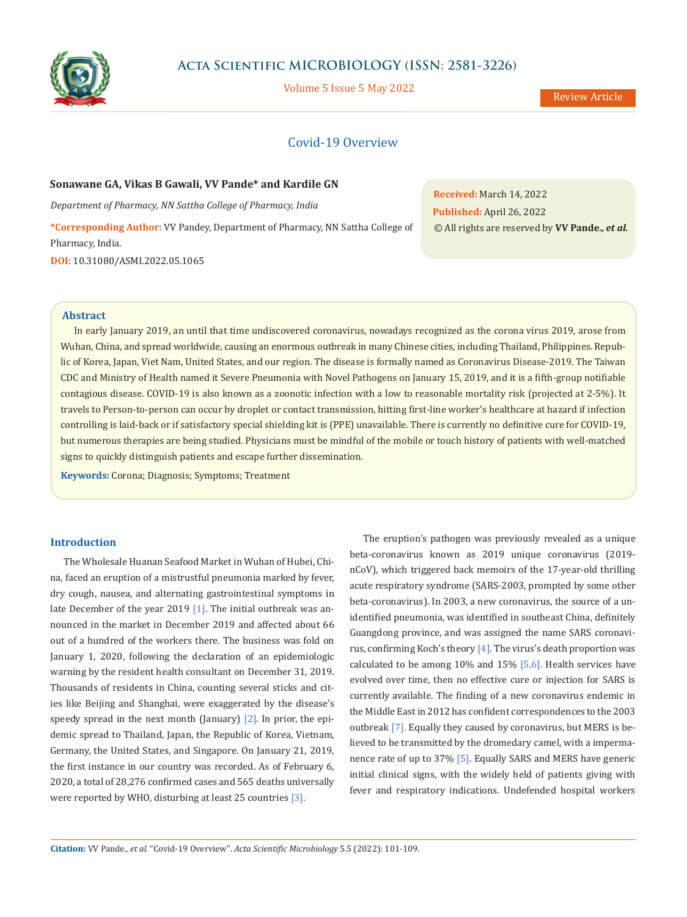

# **Acta Scientific MICROBIOLOGY (ISSN: 2581-3226)**

Volume 5 Issue 5 May 2022

# Covid-19 Overview

### **Sonawane GA, Vikas B Gawali, VV Pande\* and Kardile GN**

*Department of Pharmacy, NN Sattha College of Pharmacy, India*

**\*Corresponding Author:** VV Pandey, Department of Pharmacy, NN Sattha College of Pharmacy, India.

**DOI:** [10.31080/ASMI.2022.05.1065](https://actascientific.com/ASMI/pdf/ASMI-05-1065.pdf)

**Received:** March 14, 2022 **Published:** April 26, 2022 © All rights are reserved by **VV Pande.,** *et al.*

#### **Abstract**

In early January 2019, an until that time undiscovered coronavirus, nowadays recognized as the corona virus 2019, arose from Wuhan, China, and spread worldwide, causing an enormous outbreak in many Chinese cities, including Thailand, Philippines. Republic of Korea, Japan, Viet Nam, United States, and our region. The disease is formally named as Coronavirus Disease-2019. The Taiwan CDC and Ministry of Health named it Severe Pneumonia with Novel Pathogens on January 15, 2019, and it is a fifth-group notifiable contagious disease. COVID-19 is also known as a zoonotic infection with a low to reasonable mortality risk (projected at 2-5%). It travels to Person-to-person can occur by droplet or contact transmission, hitting first-line worker's healthcare at hazard if infection controlling is laid-back or if satisfactory special shielding kit is (PPE) unavailable. There is currently no definitive cure for COVID-19, but numerous therapies are being studied. Physicians must be mindful of the mobile or touch history of patients with well-matched signs to quickly distinguish patients and escape further dissemination.

**Keywords:** Corona; Diagnosis; Symptoms; Treatment

## **Introduction**

The Wholesale Huanan Seafood Market in Wuhan of Hubei, China, faced an eruption of a mistrustful pneumonia marked by fever, dry cough, nausea, and alternating gastrointestinal symptoms in late December of the year 2019  $[1]$ . The initial outbreak was announced in the market in December 2019 and affected about 66 out of a hundred of the workers there. The business was fold on January 1, 2020, following the declaration of an epidemiologic warning by the resident health consultant on December 31, 2019. Thousands of residents in China, counting several sticks and cities like Beijing and Shanghai, were exaggerated by the disease's speedy spread in the next month (January)  $[2]$ . In prior, the epidemic spread to Thailand, Japan, the Republic of Korea, Vietnam, Germany, the United States, and Singapore. On January 21, 2019, the first instance in our country was recorded. As of February 6, 2020, a total of 28,276 confirmed cases and 565 deaths universally were reported by WHO, disturbing at least 25 countries [3].

The eruption's pathogen was previously revealed as a unique beta-coronavirus known as 2019 unique coronavirus (2019 nCoV), which triggered back memoirs of the 17-year-old thrilling acute respiratory syndrome (SARS-2003, prompted by some other beta-coronavirus). In 2003, a new coronavirus, the source of a unidentified pneumonia, was identified in southeast China, definitely Guangdong province, and was assigned the name SARS coronavirus, confirming Koch's theory [4]. The virus's death proportion was calculated to be among 10% and 15% [5,6]. Health services have evolved over time, then no effective cure or injection for SARS is currently available. The finding of a new coronavirus endemic in the Middle East in 2012 has confident correspondences to the 2003 outbreak [7]. Equally they caused by coronavirus, but MERS is believed to be transmitted by the dromedary camel, with a impermanence rate of up to 37% [5]. Equally SARS and MERS have generic initial clinical signs, with the widely held of patients giving with fever and respiratory indications. Undefended hospital workers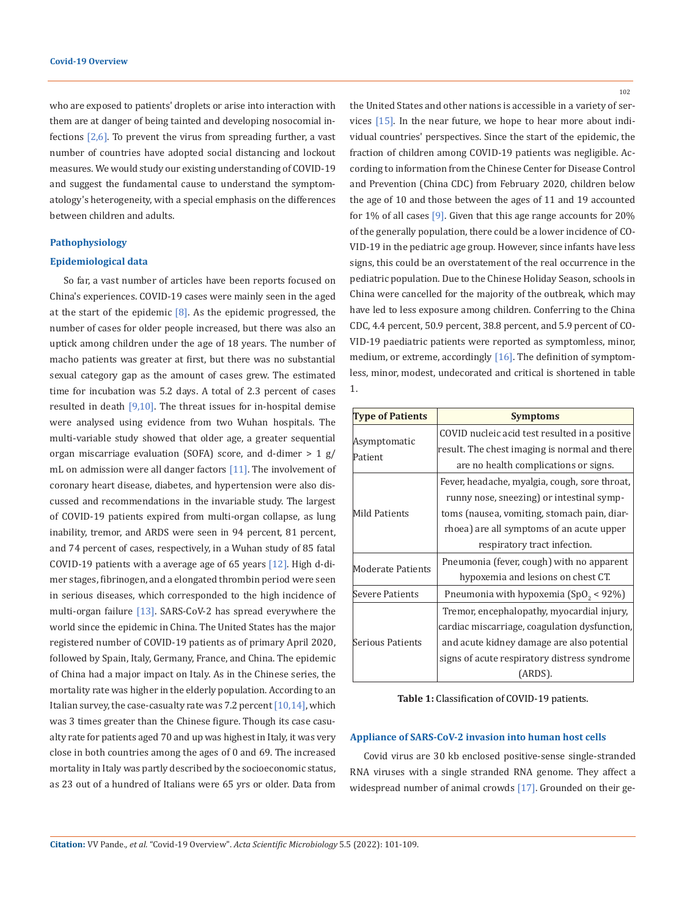who are exposed to patients' droplets or arise into interaction with them are at danger of being tainted and developing nosocomial infections  $[2,6]$ . To prevent the virus from spreading further, a vast number of countries have adopted social distancing and lockout measures. We would study our existing understanding of COVID-19 and suggest the fundamental cause to understand the symptomatology's heterogeneity, with a special emphasis on the differences between children and adults.

## **Pathophysiology**

#### **Epidemiological data**

So far, a vast number of articles have been reports focused on China's experiences. COVID-19 cases were mainly seen in the aged at the start of the epidemic  $[8]$ . As the epidemic progressed, the number of cases for older people increased, but there was also an uptick among children under the age of 18 years. The number of macho patients was greater at first, but there was no substantial sexual category gap as the amount of cases grew. The estimated time for incubation was 5.2 days. A total of 2.3 percent of cases resulted in death  $[9,10]$ . The threat issues for in-hospital demise were analysed using evidence from two Wuhan hospitals. The multi-variable study showed that older age, a greater sequential organ miscarriage evaluation (SOFA) score, and d-dimer  $> 1$  g/ mL on admission were all danger factors [11]. The involvement of coronary heart disease, diabetes, and hypertension were also discussed and recommendations in the invariable study. The largest of COVID-19 patients expired from multi-organ collapse, as lung inability, tremor, and ARDS were seen in 94 percent, 81 percent, and 74 percent of cases, respectively, in a Wuhan study of 85 fatal COVID-19 patients with a average age of 65 years [12]. High d-dimer stages, fibrinogen, and a elongated thrombin period were seen in serious diseases, which corresponded to the high incidence of multi-organ failure [13]. SARS-CoV-2 has spread everywhere the world since the epidemic in China. The United States has the major registered number of COVID-19 patients as of primary April 2020, followed by Spain, Italy, Germany, France, and China. The epidemic of China had a major impact on Italy. As in the Chinese series, the mortality rate was higher in the elderly population. According to an Italian survey, the case-casualty rate was  $7.2$  percent  $[10,14]$ , which was 3 times greater than the Chinese figure. Though its case casualty rate for patients aged 70 and up was highest in Italy, it was very close in both countries among the ages of 0 and 69. The increased mortality in Italy was partly described by the socioeconomic status, as 23 out of a hundred of Italians were 65 yrs or older. Data from

102

the United States and other nations is accessible in a variety of services [15]. In the near future, we hope to hear more about individual countries' perspectives. Since the start of the epidemic, the fraction of children among COVID-19 patients was negligible. According to information from the Chinese Center for Disease Control and Prevention (China CDC) from February 2020, children below the age of 10 and those between the ages of 11 and 19 accounted for 1% of all cases [9]. Given that this age range accounts for 20% of the generally population, there could be a lower incidence of CO-VID-19 in the pediatric age group. However, since infants have less signs, this could be an overstatement of the real occurrence in the pediatric population. Due to the Chinese Holiday Season, schools in China were cancelled for the majority of the outbreak, which may have led to less exposure among children. Conferring to the China CDC, 4.4 percent, 50.9 percent, 38.8 percent, and 5.9 percent of CO-VID-19 paediatric patients were reported as symptomless, minor, medium, or extreme, accordingly [16]. The definition of symptomless, minor, modest, undecorated and critical is shortened in table 1.

| <b>Type of Patients</b> | <b>Symptoms</b>                                   |
|-------------------------|---------------------------------------------------|
| Asymptomatic<br>Patient | COVID nucleic acid test resulted in a positive    |
|                         | result. The chest imaging is normal and there     |
|                         | are no health complications or signs.             |
| Mild Patients           | Fever, headache, myalgia, cough, sore throat,     |
|                         | runny nose, sneezing) or intestinal symp-         |
|                         | toms (nausea, vomiting, stomach pain, diar-       |
|                         | rhoea) are all symptoms of an acute upper         |
|                         | respiratory tract infection.                      |
| Moderate Patients       | Pneumonia (fever, cough) with no apparent         |
|                         | hypoxemia and lesions on chest CT.                |
| Severe Patients         | Pneumonia with hypoxemia (SpO <sub>2</sub> < 92%) |
| Serious Patients        | Tremor, encephalopathy, myocardial injury,        |
|                         | cardiac miscarriage, coagulation dysfunction,     |
|                         | and acute kidney damage are also potential        |
|                         | signs of acute respiratory distress syndrome      |
|                         | (ARDS).                                           |

**Table 1:** Classification of COVID-19 patients.

## **Appliance of SARS-CoV-2 invasion into human host cells**

Covid virus are 30 kb enclosed positive-sense single-stranded RNA viruses with a single stranded RNA genome. They affect a widespread number of animal crowds [17]. Grounded on their ge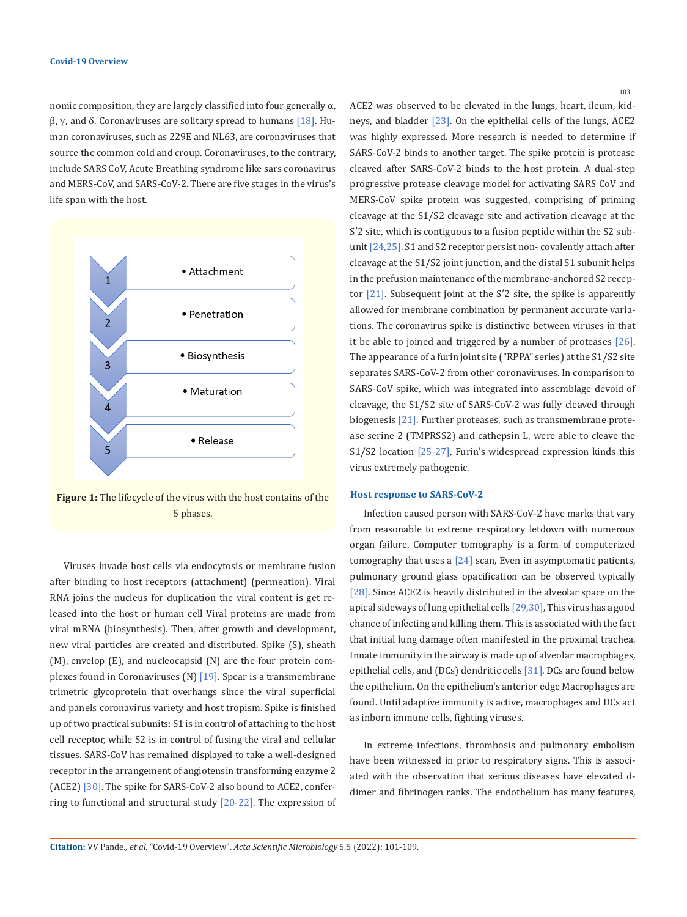nomic composition, they are largely classified into four generally α, β, γ, and δ. Coronaviruses are solitary spread to humans  $[18]$ . Human coronaviruses, such as 229E and NL63, are coronaviruses that source the common cold and croup. Coronaviruses, to the contrary, include SARS CoV, Acute Breathing syndrome like sars coronavirus and MERS-CoV, and SARS-CoV-2. There are five stages in the virus's life span with the host.



**Figure 1:** The lifecycle of the virus with the host contains of the 5 phases.

Viruses invade host cells via endocytosis or membrane fusion after binding to host receptors (attachment) (permeation). Viral RNA joins the nucleus for duplication the viral content is get released into the host or human cell Viral proteins are made from viral mRNA (biosynthesis). Then, after growth and development, new viral particles are created and distributed. Spike (S), sheath (M), envelop (E), and nucleocapsid (N) are the four protein complexes found in Coronaviruses (N) [19]. Spear is a transmembrane trimetric glycoprotein that overhangs since the viral superficial and panels coronavirus variety and host tropism. Spike is finished up of two practical subunits: S1 is in control of attaching to the host cell receptor, while S2 is in control of fusing the viral and cellular tissues. SARS-CoV has remained displayed to take a well-designed receptor in the arrangement of angiotensin transforming enzyme 2 (ACE2) [30]. The spike for SARS-CoV-2 also bound to ACE2, conferring to functional and structural study [20-22]. The expression of 103

ACE2 was observed to be elevated in the lungs, heart, ileum, kidneys, and bladder [23]. On the epithelial cells of the lungs, ACE2 was highly expressed. More research is needed to determine if SARS-CoV-2 binds to another target. The spike protein is protease cleaved after SARS-CoV-2 binds to the host protein. A dual-step progressive protease cleavage model for activating SARS CoV and MERS-CoV spike protein was suggested, comprising of priming cleavage at the S1/S2 cleavage site and activation cleavage at the S′2 site, which is contiguous to a fusion peptide within the S2 subunit [24,25]. S1 and S2 receptor persist non- covalently attach after cleavage at the S1/S2 joint junction, and the distal S1 subunit helps in the prefusion maintenance of the membrane-anchored S2 receptor [21]. Subsequent joint at the S′2 site, the spike is apparently allowed for membrane combination by permanent accurate variations. The coronavirus spike is distinctive between viruses in that it be able to joined and triggered by a number of proteases [26]. The appearance of a furin joint site ("RPPA" series) at the S1/S2 site separates SARS-CoV-2 from other coronaviruses. In comparison to SARS-CoV spike, which was integrated into assemblage devoid of cleavage, the S1/S2 site of SARS-CoV-2 was fully cleaved through biogenesis [21]. Further proteases, such as transmembrane protease serine 2 (TMPRSS2) and cathepsin L, were able to cleave the S1/S2 location [25-27], Furin's widespread expression kinds this virus extremely pathogenic.

#### **Host response to SARS-CoV-2**

Infection caused person with SARS-CoV-2 have marks that vary from reasonable to extreme respiratory letdown with numerous organ failure. Computer tomography is a form of computerized tomography that uses a [24] scan, Even in asymptomatic patients, pulmonary ground glass opacification can be observed typically [28]. Since ACE2 is heavily distributed in the alveolar space on the apical sideways of lung epithelial cells [29,30], This virus has a good chance of infecting and killing them. This is associated with the fact that initial lung damage often manifested in the proximal trachea. Innate immunity in the airway is made up of alveolar macrophages, epithelial cells, and (DCs) dendritic cells [31]. DCs are found below the epithelium. On the epithelium's anterior edge Macrophages are found. Until adaptive immunity is active, macrophages and DCs act as inborn immune cells, fighting viruses.

In extreme infections, thrombosis and pulmonary embolism have been witnessed in prior to respiratory signs. This is associated with the observation that serious diseases have elevated ddimer and fibrinogen ranks. The endothelium has many features,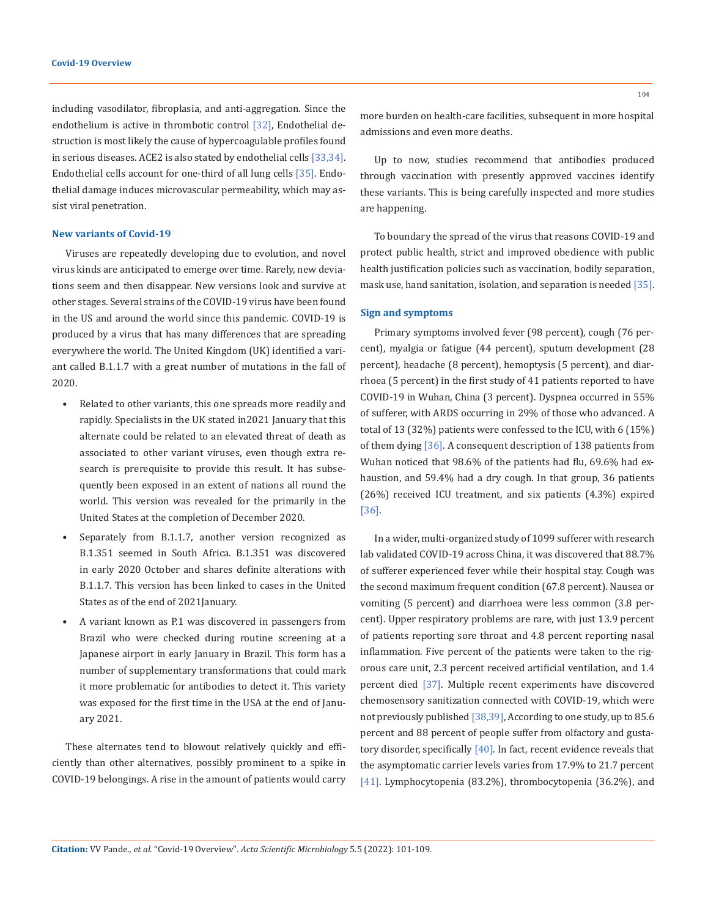including vasodilator, fibroplasia, and anti-aggregation. Since the endothelium is active in thrombotic control [32], Endothelial destruction is most likely the cause of hypercoagulable profiles found in serious diseases. ACE2 is also stated by endothelial cells [33,34]. Endothelial cells account for one-third of all lung cells [35]. Endothelial damage induces microvascular permeability, which may assist viral penetration.

### **New variants of Covid-19**

Viruses are repeatedly developing due to evolution, and novel virus kinds are anticipated to emerge over time. Rarely, new deviations seem and then disappear. New versions look and survive at other stages. Several strains of the COVID-19 virus have been found in the US and around the world since this pandemic. COVID-19 is produced by a virus that has many differences that are spreading everywhere the world. The United Kingdom (UK) identified a variant called B.1.1.7 with a great number of mutations in the fall of 2020.

- Related to other variants, this one spreads more readily and rapidly. Specialists in the UK stated in2021 January that this alternate could be related to an elevated threat of death as associated to other variant viruses, even though extra research is prerequisite to provide this result. It has subsequently been exposed in an extent of nations all round the world. This version was revealed for the primarily in the United States at the completion of December 2020.
- Separately from B.1.1.7, another version recognized as B.1.351 seemed in South Africa. B.1.351 was discovered in early 2020 October and shares definite alterations with B.1.1.7. This version has been linked to cases in the United States as of the end of 2021January.
- A variant known as P.1 was discovered in passengers from Brazil who were checked during routine screening at a Japanese airport in early January in Brazil. This form has a number of supplementary transformations that could mark it more problematic for antibodies to detect it. This variety was exposed for the first time in the USA at the end of January 2021.

These alternates tend to blowout relatively quickly and efficiently than other alternatives, possibly prominent to a spike in COVID-19 belongings. A rise in the amount of patients would carry more burden on health-care facilities, subsequent in more hospital admissions and even more deaths.

Up to now, studies recommend that antibodies produced through vaccination with presently approved vaccines identify these variants. This is being carefully inspected and more studies are happening.

To boundary the spread of the virus that reasons COVID-19 and protect public health, strict and improved obedience with public health justification policies such as vaccination, bodily separation, mask use, hand sanitation, isolation, and separation is needed [35].

### **Sign and symptoms**

Primary symptoms involved fever (98 percent), cough (76 percent), myalgia or fatigue (44 percent), sputum development (28 percent), headache (8 percent), hemoptysis (5 percent), and diarrhoea (5 percent) in the first study of 41 patients reported to have COVID-19 in Wuhan, China (3 percent). Dyspnea occurred in 55% of sufferer, with ARDS occurring in 29% of those who advanced. A total of 13 (32%) patients were confessed to the ICU, with 6 (15%) of them dying [36]. A consequent description of 138 patients from Wuhan noticed that 98.6% of the patients had flu, 69.6% had exhaustion, and 59.4% had a dry cough. In that group, 36 patients (26%) received ICU treatment, and six patients (4.3%) expired [36].

In a wider, multi-organized study of 1099 sufferer with research lab validated COVID-19 across China, it was discovered that 88.7% of sufferer experienced fever while their hospital stay. Cough was the second maximum frequent condition (67.8 percent). Nausea or vomiting (5 percent) and diarrhoea were less common (3.8 percent). Upper respiratory problems are rare, with just 13.9 percent of patients reporting sore throat and 4.8 percent reporting nasal inflammation. Five percent of the patients were taken to the rigorous care unit, 2.3 percent received artificial ventilation, and 1.4 percent died [37]. Multiple recent experiments have discovered chemosensory sanitization connected with COVID-19, which were not previously published [38,39], According to one study, up to 85.6 percent and 88 percent of people suffer from olfactory and gustatory disorder, specifically [40]. In fact, recent evidence reveals that the asymptomatic carrier levels varies from 17.9% to 21.7 percent [41]. Lymphocytopenia (83.2%), thrombocytopenia (36.2%), and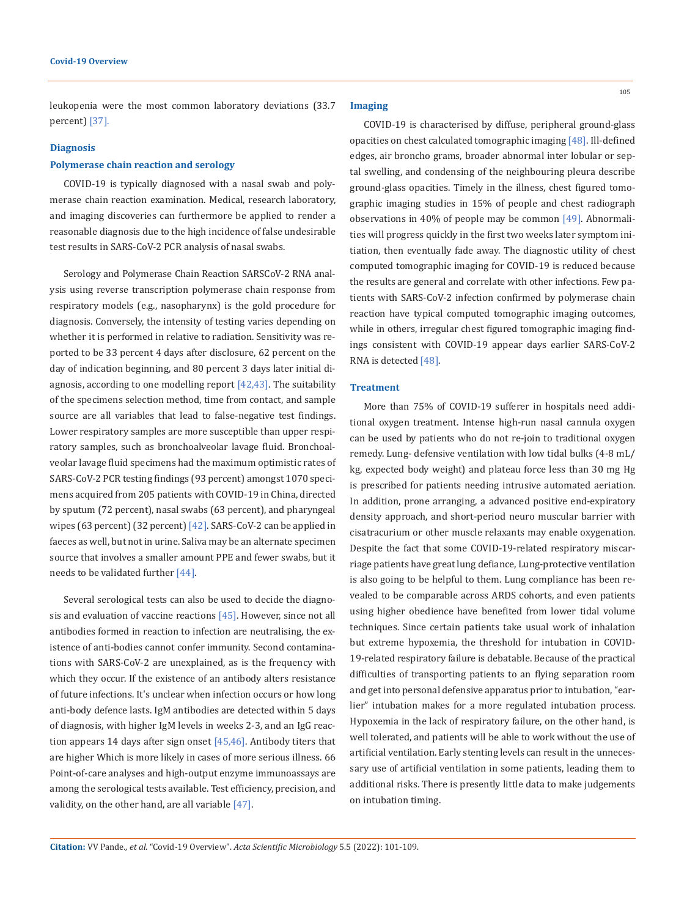leukopenia were the most common laboratory deviations (33.7 percent) [37].

#### **Diagnosis**

## **Polymerase chain reaction and serology**

COVID-19 is typically diagnosed with a nasal swab and polymerase chain reaction examination. Medical, research laboratory, and imaging discoveries can furthermore be applied to render a reasonable diagnosis due to the high incidence of false undesirable test results in SARS-CoV-2 PCR analysis of nasal swabs.

Serology and Polymerase Chain Reaction SARSCoV-2 RNA analysis using reverse transcription polymerase chain response from respiratory models (e.g., nasopharynx) is the gold procedure for diagnosis. Conversely, the intensity of testing varies depending on whether it is performed in relative to radiation. Sensitivity was reported to be 33 percent 4 days after disclosure, 62 percent on the day of indication beginning, and 80 percent 3 days later initial diagnosis, according to one modelling report [42,43]. The suitability of the specimens selection method, time from contact, and sample source are all variables that lead to false-negative test findings. Lower respiratory samples are more susceptible than upper respiratory samples, such as bronchoalveolar lavage fluid. Bronchoalveolar lavage fluid specimens had the maximum optimistic rates of SARS-CoV-2 PCR testing findings (93 percent) amongst 1070 specimens acquired from 205 patients with COVID-19 in China, directed by sputum (72 percent), nasal swabs (63 percent), and pharyngeal wipes (63 percent) (32 percent) [42]. SARS-CoV-2 can be applied in faeces as well, but not in urine. Saliva may be an alternate specimen source that involves a smaller amount PPE and fewer swabs, but it needs to be validated further [44].

Several serological tests can also be used to decide the diagnosis and evaluation of vaccine reactions  $[45]$ . However, since not all antibodies formed in reaction to infection are neutralising, the existence of anti-bodies cannot confer immunity. Second contaminations with SARS-CoV-2 are unexplained, as is the frequency with which they occur. If the existence of an antibody alters resistance of future infections. It's unclear when infection occurs or how long anti-body defence lasts. IgM antibodies are detected within 5 days of diagnosis, with higher IgM levels in weeks 2-3, and an IgG reaction appears 14 days after sign onset  $[45,46]$ . Antibody titers that are higher Which is more likely in cases of more serious illness. 66 Point-of-care analyses and high-output enzyme immunoassays are among the serological tests available. Test efficiency, precision, and validity, on the other hand, are all variable [47].

#### **Imaging**

COVID-19 is characterised by diffuse, peripheral ground-glass opacities on chest calculated tomographic imaging [48]. Ill-defined edges, air broncho grams, broader abnormal inter lobular or septal swelling, and condensing of the neighbouring pleura describe ground-glass opacities. Timely in the illness, chest figured tomographic imaging studies in 15% of people and chest radiograph observations in 40% of people may be common [49]. Abnormalities will progress quickly in the first two weeks later symptom initiation, then eventually fade away. The diagnostic utility of chest computed tomographic imaging for COVID-19 is reduced because the results are general and correlate with other infections. Few patients with SARS-CoV-2 infection confirmed by polymerase chain reaction have typical computed tomographic imaging outcomes, while in others, irregular chest figured tomographic imaging findings consistent with COVID-19 appear days earlier SARS-CoV-2 RNA is detected [48].

#### **Treatment**

More than 75% of COVID-19 sufferer in hospitals need additional oxygen treatment. Intense high-run nasal cannula oxygen can be used by patients who do not re-join to traditional oxygen remedy. Lung- defensive ventilation with low tidal bulks (4-8 mL/ kg, expected body weight) and plateau force less than 30 mg Hg is prescribed for patients needing intrusive automated aeriation. In addition, prone arranging, a advanced positive end-expiratory density approach, and short-period neuro muscular barrier with cisatracurium or other muscle relaxants may enable oxygenation. Despite the fact that some COVID-19-related respiratory miscarriage patients have great lung defiance, Lung-protective ventilation is also going to be helpful to them. Lung compliance has been revealed to be comparable across ARDS cohorts, and even patients using higher obedience have benefited from lower tidal volume techniques. Since certain patients take usual work of inhalation but extreme hypoxemia, the threshold for intubation in COVID-19-related respiratory failure is debatable. Because of the practical difficulties of transporting patients to an flying separation room and get into personal defensive apparatus prior to intubation, "earlier" intubation makes for a more regulated intubation process. Hypoxemia in the lack of respiratory failure, on the other hand, is well tolerated, and patients will be able to work without the use of artificial ventilation. Early stenting levels can result in the unnecessary use of artificial ventilation in some patients, leading them to additional risks. There is presently little data to make judgements on intubation timing.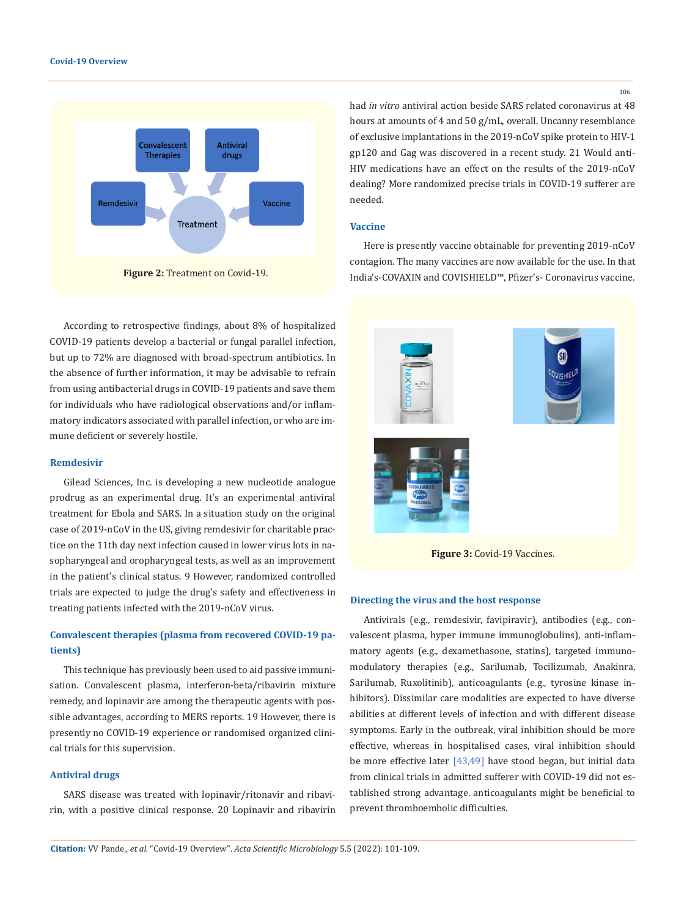

According to retrospective findings, about 8% of hospitalized COVID-19 patients develop a bacterial or fungal parallel infection, but up to 72% are diagnosed with broad-spectrum antibiotics. In the absence of further information, it may be advisable to refrain from using antibacterial drugs in COVID-19 patients and save them for individuals who have radiological observations and/or inflammatory indicators associated with parallel infection, or who are immune deficient or severely hostile.

#### **Remdesivir**

Gilead Sciences, Inc. is developing a new nucleotide analogue prodrug as an experimental drug. It's an experimental antiviral treatment for Ebola and SARS. In a situation study on the original case of 2019-nCoV in the US, giving remdesivir for charitable practice on the 11th day next infection caused in lower virus lots in nasopharyngeal and oropharyngeal tests, as well as an improvement in the patient's clinical status. 9 However, randomized controlled trials are expected to judge the drug's safety and effectiveness in treating patients infected with the 2019-nCoV virus.

# **Convalescent therapies (plasma from recovered COVID-19 patients)**

This technique has previously been used to aid passive immunisation. Convalescent plasma, interferon-beta/ribavirin mixture remedy, and lopinavir are among the therapeutic agents with possible advantages, according to MERS reports. 19 However, there is presently no COVID-19 experience or randomised organized clinical trials for this supervision.

### **Antiviral drugs**

SARS disease was treated with lopinavir/ritonavir and ribavirin, with a positive clinical response. 20 Lopinavir and ribavirin had *in vitro* antiviral action beside SARS related coronavirus at 48 hours at amounts of 4 and 50 g/mL, overall. Uncanny resemblance of exclusive implantations in the 2019-nCoV spike protein to HIV-1 gp120 and Gag was discovered in a recent study. 21 Would anti-HIV medications have an effect on the results of the 2019-nCoV dealing? More randomized precise trials in COVID-19 sufferer are needed.

## **Vaccine**

Here is presently vaccine obtainable for preventing 2019-nCoV contagion. The many vaccines are now available for the use. In that India's-COVAXIN and COVISHIELD™, Pfizer's- Coronavirus vaccine.



**Figure 3: Covid-19 Vaccines.** 

#### **Directing the virus and the host response**

Antivirals (e.g., remdesivir, favipiravir), antibodies (e.g., convalescent plasma, hyper immune immunoglobulins), anti-inflammatory agents (e.g., dexamethasone, statins), targeted immunomodulatory therapies (e.g., Sarilumab, Tocilizumab, Anakinra, Sarilumab, Ruxolitinib), anticoagulants (e.g., tyrosine kinase inhibitors). Dissimilar care modalities are expected to have diverse abilities at different levels of infection and with different disease symptoms. Early in the outbreak, viral inhibition should be more effective, whereas in hospitalised cases, viral inhibition should be more effective later [43,49] have stood began, but initial data from clinical trials in admitted sufferer with COVID-19 did not established strong advantage. anticoagulants might be beneficial to prevent thromboembolic difficulties.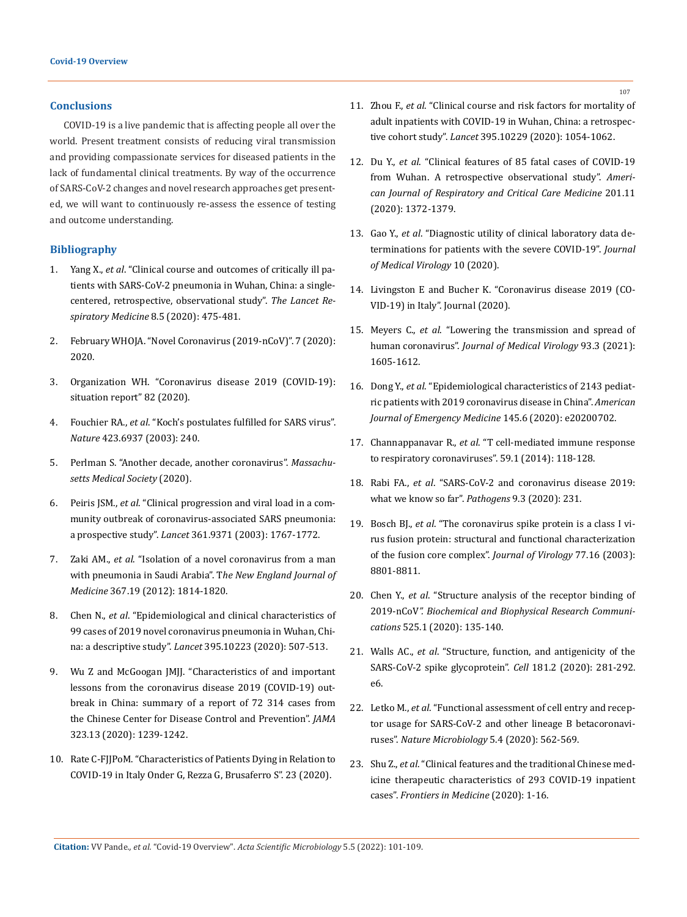### **Conclusions**

COVID-19 is a live pandemic that is affecting people all over the world. Present treatment consists of reducing viral transmission and providing compassionate services for diseased patients in the lack of fundamental clinical treatments. By way of the occurrence of SARS-CoV-2 changes and novel research approaches get presented, we will want to continuously re-assess the essence of testing and outcome understanding.

### **Bibliography**

- 1. Yang X., *et al*[. "Clinical course and outcomes of critically ill pa](https://www.researchgate.net/publication/339462361_Clinical_course_and_outcomes_of_critically_ill_patients_with_SARS-CoV-2_pneumonia_in_Wuhan_China_a_single-centered_retrospective_observational_study)[tients with SARS-CoV-2 pneumonia in Wuhan, China: a single](https://www.researchgate.net/publication/339462361_Clinical_course_and_outcomes_of_critically_ill_patients_with_SARS-CoV-2_pneumonia_in_Wuhan_China_a_single-centered_retrospective_observational_study)[centered, retrospective, observational study".](https://www.researchgate.net/publication/339462361_Clinical_course_and_outcomes_of_critically_ill_patients_with_SARS-CoV-2_pneumonia_in_Wuhan_China_a_single-centered_retrospective_observational_study) *The Lancet Re[spiratory Medicine](https://www.researchgate.net/publication/339462361_Clinical_course_and_outcomes_of_critically_ill_patients_with_SARS-CoV-2_pneumonia_in_Wuhan_China_a_single-centered_retrospective_observational_study)* 8.5 (2020): 475-481.
- 2. February WHOJA. "Novel Coronavirus (2019-nCoV)". 7 (2020): 2020.
- 3. Organization WH. "Coronavirus disease 2019 (COVID-19): situation report" 82 (2020).
- 4. Fouchier RA., *et al*[. "Koch's postulates fulfilled for SARS virus".](https://www.nature.com/articles/423240a)  *Nature* [423.6937 \(2003\): 240.](https://www.nature.com/articles/423240a)
- 5. Perlman S. "Another decade, another coronavirus". *Massachusetts Medical Society* (2020).
- 6. Peiris JSM., *et al*[. "Clinical progression and viral load in a com](https://www.thelancet.com/journals/lancet/article/PIIS0140-6736(03)13412-5/fulltext)[munity outbreak of coronavirus-associated SARS pneumonia:](https://www.thelancet.com/journals/lancet/article/PIIS0140-6736(03)13412-5/fulltext)  a prospective study". *Lancet* [361.9371 \(2003\): 1767-1772.](https://www.thelancet.com/journals/lancet/article/PIIS0140-6736(03)13412-5/fulltext)
- 7. Zaki AM., *et al*[. "Isolation of a novel coronavirus from a man](https://pubmed.ncbi.nlm.nih.gov/23075143/)  [with pneumonia in Saudi Arabia". T](https://pubmed.ncbi.nlm.nih.gov/23075143/)*he New England Journal of Medicine* [367.19 \(2012\): 1814-1820.](https://pubmed.ncbi.nlm.nih.gov/23075143/)
- 8. Chen N., *et al*[. "Epidemiological and clinical characteristics of](https://www.thelancet.com/journals/lancet/article/PIIS0140-6736(20)30211-7/fulltext)  [99 cases of 2019 novel coronavirus pneumonia in Wuhan, Chi](https://www.thelancet.com/journals/lancet/article/PIIS0140-6736(20)30211-7/fulltext)na: a descriptive study". *Lancet* [395.10223 \(2020\): 507-513.](https://www.thelancet.com/journals/lancet/article/PIIS0140-6736(20)30211-7/fulltext)
- 9. [Wu Z and McGoogan JMJJ. "Characteristics of and important](https://pubmed.ncbi.nlm.nih.gov/32091533/)  [lessons from the coronavirus disease 2019 \(COVID-19\) out](https://pubmed.ncbi.nlm.nih.gov/32091533/)[break in China: summary of a report of 72 314 cases from](https://pubmed.ncbi.nlm.nih.gov/32091533/)  [the Chinese Center for Disease Control and Prevention".](https://pubmed.ncbi.nlm.nih.gov/32091533/) *JAMA*  [323.13 \(2020\): 1239-1242.](https://pubmed.ncbi.nlm.nih.gov/32091533/)
- 10. Rate C-FJJPoM. "Characteristics of Patients Dying in Relation to COVID-19 in Italy Onder G, Rezza G, Brusaferro S". 23 (2020).
- 11. Zhou F., *et al*[. "Clinical course and risk factors for mortality of](https://pubmed.ncbi.nlm.nih.gov/32171076/)  [adult inpatients with COVID-19 in Wuhan, China: a retrospec](https://pubmed.ncbi.nlm.nih.gov/32171076/)tive cohort study". *Lancet* [395.10229 \(2020\): 1054-1062.](https://pubmed.ncbi.nlm.nih.gov/32171076/)
- 12. Du Y., *et al*. "Clinical features of 85 fatal cases of COVID-19 from Wuhan. A retrospective observational study". *American Journal of Respiratory and Critical Care Medicine* 201.11 (2020): 1372-1379.
- 13. Gao Y., *et al*[. "Diagnostic utility of clinical laboratory data de](https://pubmed.ncbi.nlm.nih.gov/32181911/)[terminations for patients with the severe COVID-19".](https://pubmed.ncbi.nlm.nih.gov/32181911/) *Journal [of Medical Virology](https://pubmed.ncbi.nlm.nih.gov/32181911/)* 10 (2020).
- 14. Livingston E and Bucher K. "Coronavirus disease 2019 (CO-VID-19) in Italy". Journal (2020).
- 15. Meyers C., *et al*[. "Lowering the transmission and spread of](https://pubmed.ncbi.nlm.nih.gov/32940907/)  human coronavirus". *[Journal of Medical Virology](https://pubmed.ncbi.nlm.nih.gov/32940907/)* 93.3 (2021): [1605-1612.](https://pubmed.ncbi.nlm.nih.gov/32940907/)
- 16. Dong Y., *et al*[. "Epidemiological characteristics of 2143 pediat](https://www.ncbi.nlm.nih.gov/pmc/articles/PMC7266747/)[ric patients with 2019 coronavirus disease in China".](https://www.ncbi.nlm.nih.gov/pmc/articles/PMC7266747/) *American [Journal of Emergency Medicine](https://www.ncbi.nlm.nih.gov/pmc/articles/PMC7266747/)* 145.6 (2020): e20200702.
- 17. Channappanavar R., *et al*[. "T cell-mediated immune response](https://pubmed.ncbi.nlm.nih.gov/24845462/)  [to respiratory coronaviruses". 59.1 \(2014\): 118-128.](https://pubmed.ncbi.nlm.nih.gov/24845462/)
- 18. Rabi FA., *et al*[. "SARS-CoV-2 and coronavirus disease 2019:](https://pubmed.ncbi.nlm.nih.gov/32245083/)  [what we know so far".](https://pubmed.ncbi.nlm.nih.gov/32245083/) *Pathogens* 9.3 (2020): 231.
- 19. Bosch BJ., *et al*[. "The coronavirus spike protein is a class I vi](https://pubmed.ncbi.nlm.nih.gov/12885899/)[rus fusion protein: structural and functional characterization](https://pubmed.ncbi.nlm.nih.gov/12885899/)  [of the fusion core complex".](https://pubmed.ncbi.nlm.nih.gov/12885899/) *Journal of Virology* 77.16 (2003): [8801-8811.](https://pubmed.ncbi.nlm.nih.gov/12885899/)
- 20. Chen Y., *et al*[. "Structure analysis of the receptor binding of](https://www.sciencedirect.com/science/article/pii/S0006291X20303399)  2019-nCoV*[". Biochemical and Biophysical Research Communi](https://www.sciencedirect.com/science/article/pii/S0006291X20303399)cations* [525.1 \(2020\): 135-140.](https://www.sciencedirect.com/science/article/pii/S0006291X20303399)
- 21. Walls AC., *et al*. "Structure, function, and antigenicity of the SARS-CoV-2 spike glycoprotein". *Cell* 181.2 (2020): 281-292. e6.
- 22. Letko M., *et al*[. "Functional assessment of cell entry and recep](https://www.researchgate.net/publication/339457119_Functional_assessment_of_cell_entry_and_receptor_usage_for_SARS-CoV-2_and_other_lineage_B_betacoronaviruses)[tor usage for SARS-CoV-2 and other lineage B betacoronavi](https://www.researchgate.net/publication/339457119_Functional_assessment_of_cell_entry_and_receptor_usage_for_SARS-CoV-2_and_other_lineage_B_betacoronaviruses)ruses". *[Nature Microbiology](https://www.researchgate.net/publication/339457119_Functional_assessment_of_cell_entry_and_receptor_usage_for_SARS-CoV-2_and_other_lineage_B_betacoronaviruses)* 5.4 (2020): 562-569.
- 23. Shu Z., *et al*[. "Clinical features and the traditional Chinese med](https://pubmed.ncbi.nlm.nih.gov/32926319/)[icine therapeutic characteristics of 293 COVID-19 inpatient](https://pubmed.ncbi.nlm.nih.gov/32926319/)  cases". *[Frontiers in Medicine](https://pubmed.ncbi.nlm.nih.gov/32926319/)* (2020): 1-16.

**Citation:** VV Pande*., et al.* "Covid-19 Overview". *Acta Scientific Microbiology* 5.5 (2022): 101-109.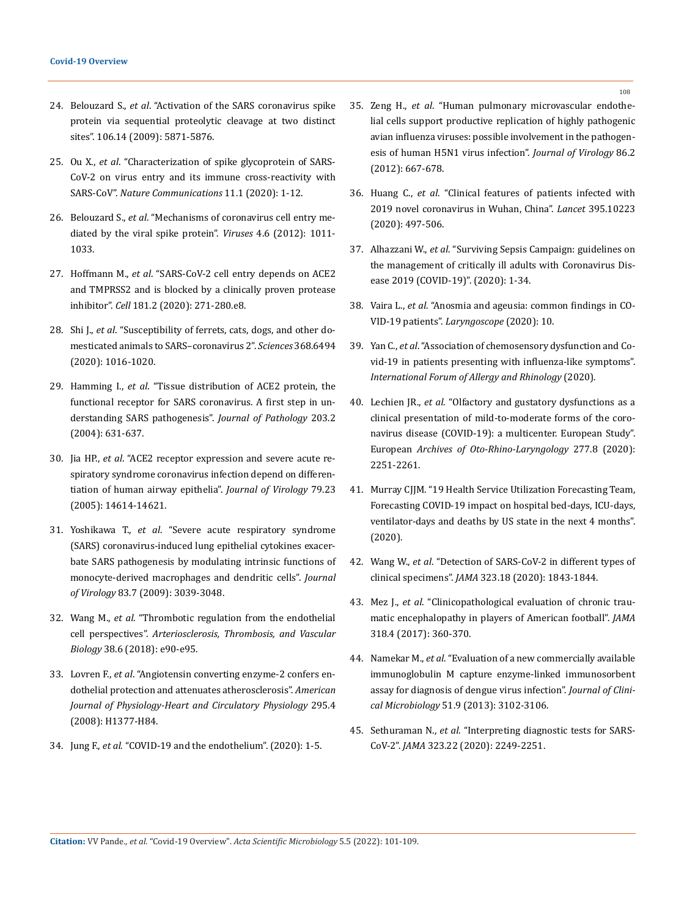- 24. Belouzard S., *et al*[. "Activation of the SARS coronavirus spike](https://www.pnas.org/doi/10.1073/pnas.0809524106)  [protein via sequential proteolytic cleavage at two distinct](https://www.pnas.org/doi/10.1073/pnas.0809524106)  [sites". 106.14 \(2009\): 5871-5876.](https://www.pnas.org/doi/10.1073/pnas.0809524106)
- 25. Ou X., *et al*[. "Characterization of spike glycoprotein of SARS-](https://www.nature.com/articles/s41467-020-15562-9)[CoV-2 on virus entry and its immune cross-reactivity with](https://www.nature.com/articles/s41467-020-15562-9)  SARS-CoV". *[Nature Communications](https://www.nature.com/articles/s41467-020-15562-9)* 11.1 (2020): 1-12.
- 26. Belouzard S., *et al*[. "Mechanisms of coronavirus cell entry me](https://pubmed.ncbi.nlm.nih.gov/22816037/)[diated by the viral spike protein".](https://pubmed.ncbi.nlm.nih.gov/22816037/) *Viruses* 4.6 (2012): 1011- [1033.](https://pubmed.ncbi.nlm.nih.gov/22816037/)
- 27. Hoffmann M., *et al*[. "SARS-CoV-2 cell entry depends on ACE2](https://pubmed.ncbi.nlm.nih.gov/32142651/)  [and TMPRSS2 and is blocked by a clinically proven protease](https://pubmed.ncbi.nlm.nih.gov/32142651/)  inhibitor". *Cell* [181.2 \(2020\): 271-280.e8.](https://pubmed.ncbi.nlm.nih.gov/32142651/)
- 28. Shi J., *et al*[. "Susceptibility of ferrets, cats, dogs, and other do](https://pubmed.ncbi.nlm.nih.gov/32269068/)[mesticated animals to SARS–coronavirus 2".](https://pubmed.ncbi.nlm.nih.gov/32269068/) *Sciences* 368.6494 [\(2020\): 1016-1020.](https://pubmed.ncbi.nlm.nih.gov/32269068/)
- 29. Hamming I., *et al*[. "Tissue distribution of ACE2 protein, the](https://pubmed.ncbi.nlm.nih.gov/15141377/)  [functional receptor for SARS coronavirus. A first step in un](https://pubmed.ncbi.nlm.nih.gov/15141377/)[derstanding SARS pathogenesis".](https://pubmed.ncbi.nlm.nih.gov/15141377/) *Journal of Pathology* 203.2 [\(2004\): 631-637.](https://pubmed.ncbi.nlm.nih.gov/15141377/)
- 30. Jia HP., *et al*[. "ACE2 receptor expression and severe acute re](https://www.ncbi.nlm.nih.gov/pmc/articles/PMC1287568/)[spiratory syndrome coronavirus infection depend on differen](https://www.ncbi.nlm.nih.gov/pmc/articles/PMC1287568/)[tiation of human airway epithelia".](https://www.ncbi.nlm.nih.gov/pmc/articles/PMC1287568/) *Journal of Virology* 79.23 [\(2005\): 14614-14621.](https://www.ncbi.nlm.nih.gov/pmc/articles/PMC1287568/)
- 31. Yoshikawa T., *et al*[. "Severe acute respiratory syndrome](https://pubmed.ncbi.nlm.nih.gov/19004938/)  [\(SARS\) coronavirus-induced lung epithelial cytokines exacer](https://pubmed.ncbi.nlm.nih.gov/19004938/)[bate SARS pathogenesis by modulating intrinsic functions of](https://pubmed.ncbi.nlm.nih.gov/19004938/)  [monocyte-derived macrophages and dendritic cells".](https://pubmed.ncbi.nlm.nih.gov/19004938/) *Journal of Virology* [83.7 \(2009\): 3039-3048.](https://pubmed.ncbi.nlm.nih.gov/19004938/)
- 32. Wang M., *et al*[. "Thrombotic regulation from the endothelial](https://pubmed.ncbi.nlm.nih.gov/29793992/)  cell perspectives". *[Arteriosclerosis, Thrombosis, and Vascular](https://pubmed.ncbi.nlm.nih.gov/29793992/)  Biology* [38.6 \(2018\): e90-e95.](https://pubmed.ncbi.nlm.nih.gov/29793992/)
- 33. Lovren F., *et al*[. "Angiotensin converting enzyme-2 confers en](https://pubmed.ncbi.nlm.nih.gov/18660448/)[dothelial protection and attenuates atherosclerosis".](https://pubmed.ncbi.nlm.nih.gov/18660448/) *American [Journal of Physiology-Heart and Circulatory Physiology](https://pubmed.ncbi.nlm.nih.gov/18660448/)* 295.4 [\(2008\): H1377-H84.](https://pubmed.ncbi.nlm.nih.gov/18660448/)
- 34. Jung F., *et al*. "COVID-19 and the endothelium". (2020): 1-5.
- 35. Zeng H., *et al*[. "Human pulmonary microvascular endothe](https://www.researchgate.net/publication/51786230_Human_Pulmonary_Microvascular_Endothelial_Cells_Support_Productive_Replication_of_Highly_Pathogenic_Avian_Influenza_Viruses_Possible_Involvement_in_the_Pathogenesis_of_Human_H5N1_Virus_Infection)[lial cells support productive replication of highly pathogenic](https://www.researchgate.net/publication/51786230_Human_Pulmonary_Microvascular_Endothelial_Cells_Support_Productive_Replication_of_Highly_Pathogenic_Avian_Influenza_Viruses_Possible_Involvement_in_the_Pathogenesis_of_Human_H5N1_Virus_Infection)  [avian influenza viruses: possible involvement in the pathogen](https://www.researchgate.net/publication/51786230_Human_Pulmonary_Microvascular_Endothelial_Cells_Support_Productive_Replication_of_Highly_Pathogenic_Avian_Influenza_Viruses_Possible_Involvement_in_the_Pathogenesis_of_Human_H5N1_Virus_Infection)[esis of human H5N1 virus infection".](https://www.researchgate.net/publication/51786230_Human_Pulmonary_Microvascular_Endothelial_Cells_Support_Productive_Replication_of_Highly_Pathogenic_Avian_Influenza_Viruses_Possible_Involvement_in_the_Pathogenesis_of_Human_H5N1_Virus_Infection) *Journal of Virology* 86.2 [\(2012\): 667-678.](https://www.researchgate.net/publication/51786230_Human_Pulmonary_Microvascular_Endothelial_Cells_Support_Productive_Replication_of_Highly_Pathogenic_Avian_Influenza_Viruses_Possible_Involvement_in_the_Pathogenesis_of_Human_H5N1_Virus_Infection)
- 36. Huang C., *et al*[. "Clinical features of patients infected with](https://www.thelancet.com/journals/lancet/article/PIIS0140-6736(20)30183-5/fulltext)  [2019 novel coronavirus in Wuhan, China".](https://www.thelancet.com/journals/lancet/article/PIIS0140-6736(20)30183-5/fulltext) *Lancet* 395.10223 [\(2020\): 497-506.](https://www.thelancet.com/journals/lancet/article/PIIS0140-6736(20)30183-5/fulltext)
- 37. Alhazzani W., *et al*. "Surviving Sepsis Campaign: guidelines on the management of critically ill adults with Coronavirus Disease 2019 (COVID-19)". (2020): 1-34.
- 38. Vaira L., *et al*[. "Anosmia and ageusia: common findings in CO](https://pubmed.ncbi.nlm.nih.gov/32237238/)-VID-19 patients". *[Laryngoscope](https://pubmed.ncbi.nlm.nih.gov/32237238/)* (2020): 10.
- 39. Yan C., *et al*. "Association of chemosensory dysfunction and Covid-19 in patients presenting with influenza-like symptoms". *International Forum of Allergy and Rhinology* (2020).
- 40. Lechien JR., *et al*[. "Olfactory and gustatory dysfunctions as a](https://pubmed.ncbi.nlm.nih.gov/32253535/)  [clinical presentation of mild-to-moderate forms of the coro](https://pubmed.ncbi.nlm.nih.gov/32253535/)[navirus disease \(COVID-19\): a multicenter. European Study".](https://pubmed.ncbi.nlm.nih.gov/32253535/)  European *[Archives of Oto-Rhino-Laryngology](https://pubmed.ncbi.nlm.nih.gov/32253535/)* 277.8 (2020): [2251-2261.](https://pubmed.ncbi.nlm.nih.gov/32253535/)
- 41. Murray CJJM. "19 Health Service Utilization Forecasting Team, Forecasting COVID-19 impact on hospital bed-days, ICU-days, ventilator-days and deaths by US state in the next 4 months". (2020).
- 42. Wang W., *et al*[. "Detection of SARS-CoV-2 in different types of](https://jamanetwork.com/journals/jama/fullarticle/2762997)  clinical specimens". *JAMA* [323.18 \(2020\): 1843-1844.](https://jamanetwork.com/journals/jama/fullarticle/2762997)
- 43. Mez J., *et al*[. "Clinicopathological evaluation of chronic trau](https://jamanetwork.com/journals/jama/fullarticle/2645104)[matic encephalopathy in players of American football".](https://jamanetwork.com/journals/jama/fullarticle/2645104) *JAMA* [318.4 \(2017\): 360-370.](https://jamanetwork.com/journals/jama/fullarticle/2645104)
- 44. Namekar M., *et al*[. "Evaluation of a new commercially available](https://pubmed.ncbi.nlm.nih.gov/23824771/)  [immunoglobulin M capture enzyme-linked immunosorbent](https://pubmed.ncbi.nlm.nih.gov/23824771/)  [assay for diagnosis of dengue virus infection".](https://pubmed.ncbi.nlm.nih.gov/23824771/) *Journal of Clinical Microbiology* [51.9 \(2013\): 3102-3106.](https://pubmed.ncbi.nlm.nih.gov/23824771/)
- 45. Sethuraman N., *et al*[. "Interpreting diagnostic tests for SARS-](https://jamanetwork.com/journals/jama/fullarticle/2765837)CoV-2". *JAMA* [323.22 \(2020\): 2249-2251.](https://jamanetwork.com/journals/jama/fullarticle/2765837)

**Citation:** VV Pande*., et al.* "Covid-19 Overview". *Acta Scientific Microbiology* 5.5 (2022): 101-109.